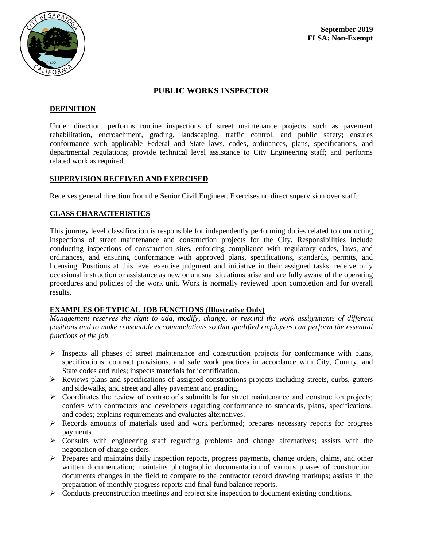

# **PUBLIC WORKS INSPECTOR**

### **DEFINITION**

Under direction, performs routine inspections of street maintenance projects, such as pavement rehabilitation, encroachment, grading, landscaping, traffic control, and public safety; ensures conformance with applicable Federal and State laws, codes, ordinances, plans, specifications, and departmental regulations; provide technical level assistance to City Engineering staff; and performs related work as required.

### **SUPERVISION RECEIVED AND EXERCISED**

Receives general direction from the Senior Civil Engineer. Exercises no direct supervision over staff.

## **CLASS CHARACTERISTICS**

This journey level classification is responsible for independently performing duties related to conducting inspections of street maintenance and construction projects for the City. Responsibilities include conducting inspections of construction sites, enforcing compliance with regulatory codes, laws, and ordinances, and ensuring conformance with approved plans, specifications, standards, permits, and licensing. Positions at this level exercise judgment and initiative in their assigned tasks, receive only occasional instruction or assistance as new or unusual situations arise and are fully aware of the operating procedures and policies of the work unit. Work is normally reviewed upon completion and for overall results.

## **EXAMPLES OF TYPICAL JOB FUNCTIONS (Illustrative Only)**

*Management reserves the right to add, modify, change, or rescind the work assignments of different positions and to make reasonable accommodations so that qualified employees can perform the essential functions of the job.*

- $\triangleright$  Inspects all phases of street maintenance and construction projects for conformance with plans, specifications, contract provisions, and safe work practices in accordance with City, County, and State codes and rules; inspects materials for identification.
- Reviews plans and specifications of assigned constructions projects including streets, curbs, gutters and sidewalks, and street and alley pavement and grading.
- $\triangleright$  Coordinates the review of contractor's submittals for street maintenance and construction projects; confers with contractors and developers regarding conformance to standards, plans, specifications, and codes; explains requirements and evaluates alternatives.
- $\triangleright$  Records amounts of materials used and work performed; prepares necessary reports for progress payments.
- Consults with engineering staff regarding problems and change alternatives; assists with the negotiation of change orders.
- Prepares and maintains daily inspection reports, progress payments, change orders, claims, and other written documentation; maintains photographic documentation of various phases of construction; documents changes in the field to compare to the contractor record drawing markups; assists in the preparation of monthly progress reports and final fund balance reports.
- $\triangleright$  Conducts preconstruction meetings and project site inspection to document existing conditions.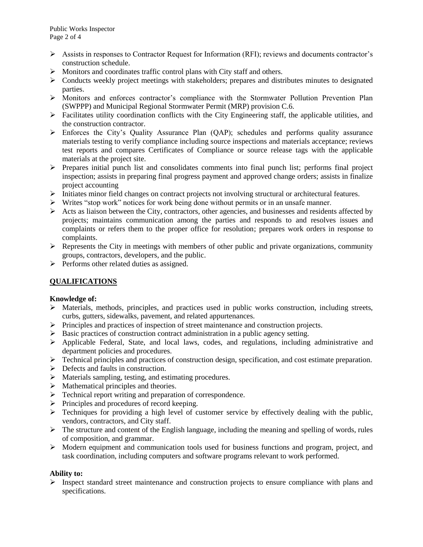- $\triangleright$  Assists in responses to Contractor Request for Information (RFI); reviews and documents contractor's construction schedule.
- Monitors and coordinates traffic control plans with City staff and others.
- $\triangleright$  Conducts weekly project meetings with stakeholders; prepares and distributes minutes to designated parties.
- Monitors and enforces contractor's compliance with the Stormwater Pollution Prevention Plan (SWPPP) and Municipal Regional Stormwater Permit (MRP) provision C.6.
- $\triangleright$  Facilitates utility coordination conflicts with the City Engineering staff, the applicable utilities, and the construction contractor.
- Enforces the City's Quality Assurance Plan (QAP); schedules and performs quality assurance materials testing to verify compliance including source inspections and materials acceptance; reviews test reports and compares Certificates of Compliance or source release tags with the applicable materials at the project site.
- $\triangleright$  Prepares initial punch list and consolidates comments into final punch list; performs final project inspection; assists in preparing final progress payment and approved change orders; assists in finalize project accounting
- $\triangleright$  Initiates minor field changes on contract projects not involving structural or architectural features.
- $\triangleright$  Writes "stop work" notices for work being done without permits or in an unsafe manner.
- $\triangleright$  Acts as liaison between the City, contractors, other agencies, and businesses and residents affected by projects; maintains communication among the parties and responds to and resolves issues and complaints or refers them to the proper office for resolution; prepares work orders in response to complaints.
- $\triangleright$  Represents the City in meetings with members of other public and private organizations, community groups, contractors, developers, and the public.
- $\triangleright$  Performs other related duties as assigned.

## **QUALIFICATIONS**

#### **Knowledge of:**

- Materials, methods, principles, and practices used in public works construction, including streets, curbs, gutters, sidewalks, pavement, and related appurtenances.
- $\triangleright$  Principles and practices of inspection of street maintenance and construction projects.
- $\triangleright$  Basic practices of construction contract administration in a public agency setting.
- Applicable Federal, State, and local laws, codes, and regulations, including administrative and department policies and procedures.
- $\triangleright$  Technical principles and practices of construction design, specification, and cost estimate preparation.
- $\triangleright$  Defects and faults in construction.
- $\triangleright$  Materials sampling, testing, and estimating procedures.
- $\triangleright$  Mathematical principles and theories.
- > Technical report writing and preparation of correspondence.
- $\triangleright$  Principles and procedures of record keeping.
- $\triangleright$  Techniques for providing a high level of customer service by effectively dealing with the public, vendors, contractors, and City staff.
- $\triangleright$  The structure and content of the English language, including the meaning and spelling of words, rules of composition, and grammar.
- $\triangleright$  Modern equipment and communication tools used for business functions and program, project, and task coordination, including computers and software programs relevant to work performed.

## **Ability to:**

 $\triangleright$  Inspect standard street maintenance and construction projects to ensure compliance with plans and specifications.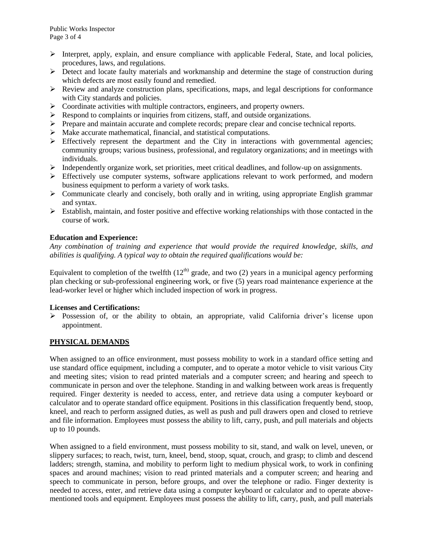- $\triangleright$  Interpret, apply, explain, and ensure compliance with applicable Federal, State, and local policies, procedures, laws, and regulations.
- $\triangleright$  Detect and locate faulty materials and workmanship and determine the stage of construction during which defects are most easily found and remedied.
- $\triangleright$  Review and analyze construction plans, specifications, maps, and legal descriptions for conformance with City standards and policies.
- $\triangleright$  Coordinate activities with multiple contractors, engineers, and property owners.
- $\triangleright$  Respond to complaints or inquiries from citizens, staff, and outside organizations.
- $\triangleright$  Prepare and maintain accurate and complete records; prepare clear and concise technical reports.
- $\triangleright$  Make accurate mathematical, financial, and statistical computations.
- $\triangleright$  Effectively represent the department and the City in interactions with governmental agencies; community groups; various business, professional, and regulatory organizations; and in meetings with individuals.
- $\triangleright$  Independently organize work, set priorities, meet critical deadlines, and follow-up on assignments.
- $\triangleright$  Effectively use computer systems, software applications relevant to work performed, and modern business equipment to perform a variety of work tasks.
- $\triangleright$  Communicate clearly and concisely, both orally and in writing, using appropriate English grammar and syntax.
- $\triangleright$  Establish, maintain, and foster positive and effective working relationships with those contacted in the course of work.

### **Education and Experience:**

*Any combination of training and experience that would provide the required knowledge, skills, and abilities is qualifying. A typical way to obtain the required qualifications would be:*

Equivalent to completion of the twelfth  $(12<sup>th</sup>)$  grade, and two (2) years in a municipal agency performing plan checking or sub-professional engineering work, or five (5) years road maintenance experience at the lead-worker level or higher which included inspection of work in progress.

#### **Licenses and Certifications:**

 $\triangleright$  Possession of, or the ability to obtain, an appropriate, valid California driver's license upon appointment.

## **PHYSICAL DEMANDS**

When assigned to an office environment, must possess mobility to work in a standard office setting and use standard office equipment, including a computer, and to operate a motor vehicle to visit various City and meeting sites; vision to read printed materials and a computer screen; and hearing and speech to communicate in person and over the telephone. Standing in and walking between work areas is frequently required. Finger dexterity is needed to access, enter, and retrieve data using a computer keyboard or calculator and to operate standard office equipment. Positions in this classification frequently bend, stoop, kneel, and reach to perform assigned duties, as well as push and pull drawers open and closed to retrieve and file information. Employees must possess the ability to lift, carry, push, and pull materials and objects up to 10 pounds.

When assigned to a field environment, must possess mobility to sit, stand, and walk on level, uneven, or slippery surfaces; to reach, twist, turn, kneel, bend, stoop, squat, crouch, and grasp; to climb and descend ladders; strength, stamina, and mobility to perform light to medium physical work, to work in confining spaces and around machines; vision to read printed materials and a computer screen; and hearing and speech to communicate in person, before groups, and over the telephone or radio. Finger dexterity is needed to access, enter, and retrieve data using a computer keyboard or calculator and to operate abovementioned tools and equipment. Employees must possess the ability to lift, carry, push, and pull materials